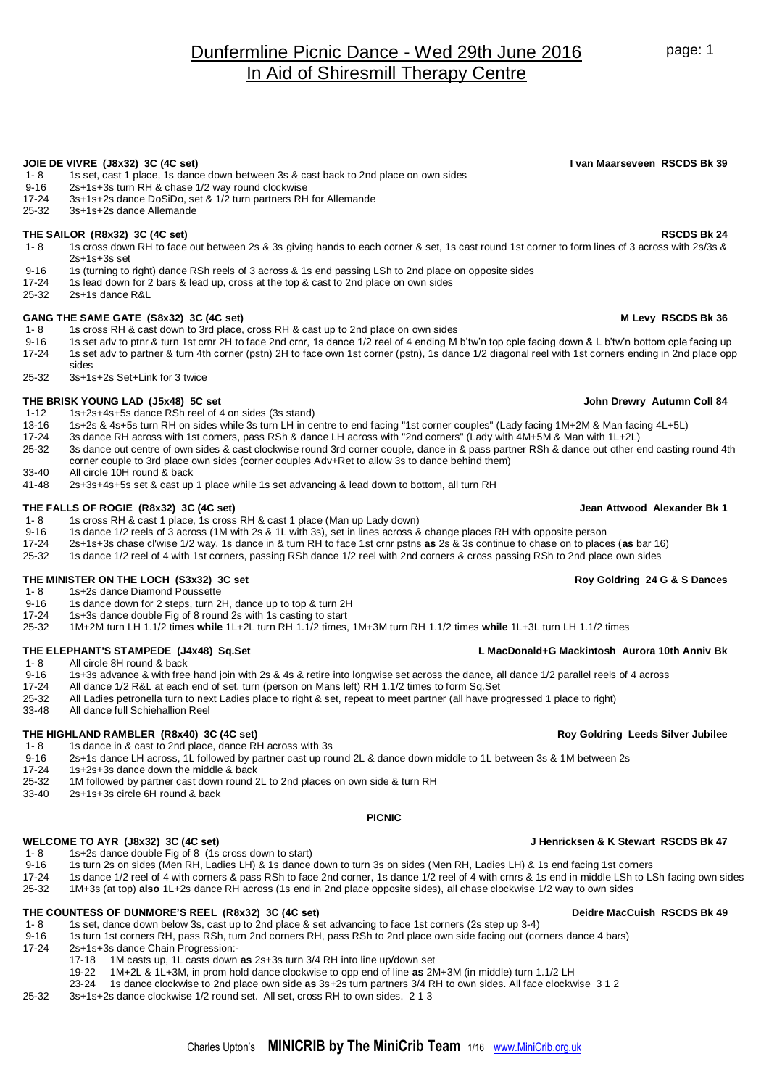# Dunfermline Picnic Dance - Wed 29th June 2016 In Aid of Shiresmill Therapy Centre

## **JOIE DE VIVRE (J8x32) 3C (4C set) I van Maarseveen RSCDS Bk 39**

- 1- 8 1s set, cast 1 place, 1s dance down between 3s & cast back to 2nd place on own sides
- 9-16 2s+1s+3s turn RH & chase 1/2 way round clockwise<br>17-24 3s+1s+2s dance DoSiDo. set & 1/2 turn partners RH
- 17-24 3s+1s+2s dance DoSiDo, set & 1/2 turn partners RH for Allemande<br>25-32 3s+1s+2s dance Allemande
- 25-32 3s+1s+2s dance Allemande

- **THE SAILOR (R8x32) 3C (4C set)**<br>1- 8 1s cross down RH to face out between 2s & 3s giving hands to each corner & set 1s cast round 1st corner to form lines of 3 across with 2s/3s & 1- 8 1s cross down RH to face out between 2s & 3s giving hands to each corner & set, 1s cast round 1st corner to form lines of 3 across with 2s/3s & 2s+1s+3s set
- 9-16 1s (turning to right) dance RSh reels of 3 across & 1s end passing LSh to 2nd place on opposite sides<br>17-24 1s lead down for 2 bars & lead up, cross at the top & cast to 2nd place on own sides
- 17-24 1s lead down for 2 bars & lead up, cross at the top & cast to 2nd place on own sides<br>25-32 2s+1s dance R&L
- 25-32 2s+1s dance R&L

- GANG THE SAME GATE (S8x32) 3C (4C set)<br>1-8 1s cross RH & cast down to 3rd place. cross RH & cast up to 2nd place on own sides 1s cross RH & cast down to 3rd place, cross RH & cast up to 2nd place on own sides
- 9-16 1s set adv to ptnr & turn 1st crnr 2H to face 2nd crnr, 1s dance 1/2 reel of 4 ending M b'tw'n top cple facing down & L b'tw'n bottom cple facing up
- 17-24 1s set adv to partner & turn 4th corner (pstn) 2H to face own 1st corner (pstn), 1s dance 1/2 diagonal reel with 1st corners ending in 2nd place opp sides
- 25-32 3s+1s+2s Set+Link for 3 twice

## **THE BRISK YOUNG LAD (J5x48) 5C set John Drewry Autumn Coll 84**

- 1-12 1s+2s+4s+5s dance RSh reel of 4 on sides (3s stand)
- 13-16 1s+2s & 4s+5s turn RH on sides while 3s turn LH in centre to end facing "1st corner couples" (Lady facing 1M+2M & Man facing 4L+5L)
- 17-24 3s dance RH across with 1st corners, pass RSh & dance LH across with "2nd corners" (Lady with 4M+5M & Man with 1L+2L)
- 25-32 3s dance out centre of own sides & cast clockwise round 3rd corner couple, dance in & pass partner RSh & dance out other end casting round 4th corner couple to 3rd place own sides (corner couples Adv+Ret to allow 3s to dance behind them)
- 33-40 All circle 10H round & back
- 41-48 2s+3s+4s+5s set & cast up 1 place while 1s set advancing & lead down to bottom, all turn RH

### **THE FALLS OF ROGIE (R8x32) 3C (4C set) Jean Attwood Alexander Bk 1**

- 1- 8 1s cross RH & cast 1 place, 1s cross RH & cast 1 place (Man up Lady down)
- 9-16 1s dance 1/2 reels of 3 across (1M with 2s & 1L with 3s), set in lines across & change places RH with opposite person<br>17-24 2s+1s+3s chase cl'wise 1/2 way. 1s dance in & turn RH to face 1st crnr pstns **as** 2s & 3s con
- 17-24 2s+1s+3s chase cl'wise 1/2 way, 1s dance in & turn RH to face 1st crnr pstns **as** 2s & 3s continue to chase on to places (**as** bar 16)
- 25-32 1s dance 1/2 reel of 4 with 1st corners, passing RSh dance 1/2 reel with 2nd corners & cross passing RSh to 2nd place own sides

# **THE MINISTER ON THE LOCH (S3x32) 3C set Roy Goldring 24 G & S Dances**<br>
1-8 15+2s dance Diamond Poussette

- 1s+2s dance Diamond Poussette
- 9-16 1s dance down for 2 steps, turn 2H, dance up to top & turn 2H
- 
- 17-24 1s+3s dance double Fig of 8 round 2s with 1s casting to start<br>25-32 1M+2M turn LH 1.1/2 times while 1L+2L turn RH 1.1/2 times. 25-32 1M+2M turn LH 1.1/2 times **while** 1L+2L turn RH 1.1/2 times, 1M+3M turn RH 1.1/2 times **while** 1L+3L turn LH 1.1/2 times

- 1- 8 All circle 8H round & back<br>9-16 1s+3s advance & with free
- 9-16 1s+3s advance & with free hand join with 2s & 4s & retire into longwise set across the dance, all dance 1/2 parallel reels of 4 across <br>17-24 All dance 1/2 R&L at each end of set, turn (person on Mans left) RH 1.1/2 t
- All dance 1/2 R&L at each end of set, turn (person on Mans left) RH 1.1/2 times to form Sq.Set
- 25-32 All Ladies petronella turn to next Ladies place to right & set, repeat to meet partner (all have progressed 1 place to right)
- 33-48 All dance full Schiehallion Reel

## **THE HIGHLAND RAMBLER (R8x40) 3C (4C set) Roy Goldring Leeds Silver Jubilee**

- 1- 8 1s dance in & cast to 2nd place, dance RH across with 3s<br>9-16 2s+1s dance LH across, 1L followed by partner cast up ro
- 2s+1s dance LH across, 1L followed by partner cast up round 2L & dance down middle to 1L between 3s & 1M between 2s
- 17-24 1s+2s+3s dance down the middle & back
- 25-32 1M followed by partner cast down round 2L to 2nd places on own side & turn RH
- 33-40 2s+1s+3s circle 6H round & back

### **PICNIC**

- 1s+2s dance double Fig of 8 (1s cross down to start)
- 9-16 1s turn 2s on sides (Men RH, Ladies LH) & 1s dance down to turn 3s on sides (Men RH, Ladies LH) & 1s end facing 1st corners
- 17-24 1s dance 1/2 reel of 4 with corners & pass RSh to face 2nd corner, 1s dance 1/2 reel of 4 with crnrs & 1s end in middle LSh to LSh facing own sides<br>25-32 1M+3s (at top) also 1L+2s dance RH across (1s end in 2nd place
- 25-32 1M+3s (at top) **also** 1L+2s dance RH across (1s end in 2nd place opposite sides), all chase clockwise 1/2 way to own sides

## **THE COUNTESS OF DUNMORE'S REEL (R8x32) 3C (4C set) Deidre MacCuish RSCDS Bk 49**

- 1- 8 1s set, dance down below 3s, cast up to 2nd place & set advancing to face 1st corners (2s step up 3-4)<br>19-16 1s turn 1st corners RH, pass RSh, turn 2nd corners RH, pass RSh to 2nd place own side facing out (compo
- 9-16 1s turn 1st corners RH, pass RSh, turn 2nd corners RH, pass RSh to 2nd place own side facing out (corners dance 4 bars)
- 17-24 2s+1s+3s dance Chain Progression:-
	- 17-18 1M casts up, 1L casts down **as** 2s+3s turn 3/4 RH into line up/down set
	- 19-22 1M+2L & 1L+3M, in prom hold dance clockwise to opp end of line **as** 2M+3M (in middle) turn 1.1/2 LH
	- 23-24 1s dance clockwise to 2nd place own side **as** 3s+2s turn partners 3/4 RH to own sides. All face clockwise 3 1 2
- 25-32 3s+1s+2s dance clockwise 1/2 round set. All set, cross RH to own sides. 2 1 3

## **THE ELEPHANT'S STAMPEDE (J4x48) Sq.Set L MacDonald+G Mackintosh Aurora 10th Anniv Bk**

WELCOME TO AYR (J8x32) 3C (4C set)<br>1- 8 1s+2s dance double Fig of 8 (1s cross down to start)<br>1- 8 1s+2s dance double Fig of 8 (1s cross down to start)